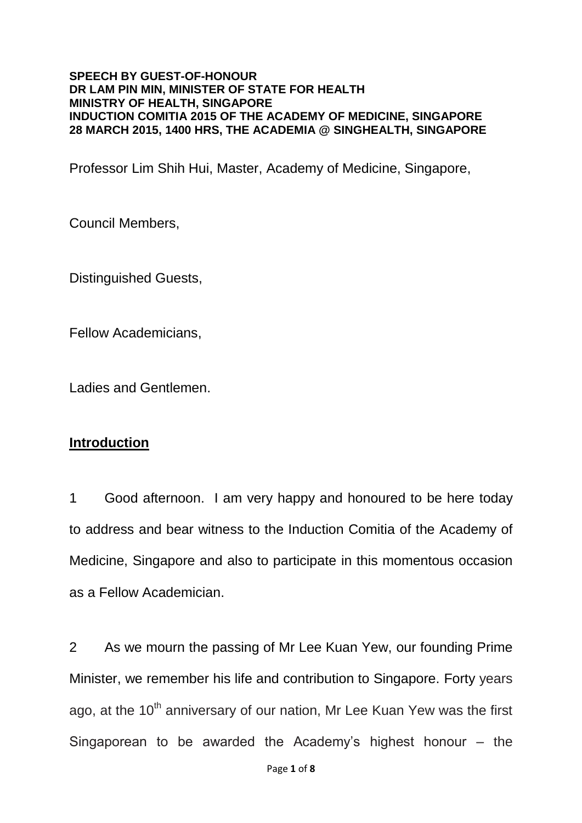#### **SPEECH BY GUEST-OF-HONOUR DR LAM PIN MIN, MINISTER OF STATE FOR HEALTH MINISTRY OF HEALTH, SINGAPORE INDUCTION COMITIA 2015 OF THE ACADEMY OF MEDICINE, SINGAPORE 28 MARCH 2015, 1400 HRS, THE ACADEMIA @ SINGHEALTH, SINGAPORE**

Professor Lim Shih Hui, Master, Academy of Medicine, Singapore,

Council Members,

Distinguished Guests,

Fellow Academicians,

Ladies and Gentlemen.

## **Introduction**

1 Good afternoon. I am very happy and honoured to be here today to address and bear witness to the Induction Comitia of the Academy of Medicine, Singapore and also to participate in this momentous occasion as a Fellow Academician.

2 As we mourn the passing of Mr Lee Kuan Yew, our founding Prime Minister, we remember his life and contribution to Singapore. Forty years ago, at the  $10<sup>th</sup>$  anniversary of our nation, Mr Lee Kuan Yew was the first Singaporean to be awarded the Academy's highest honour – the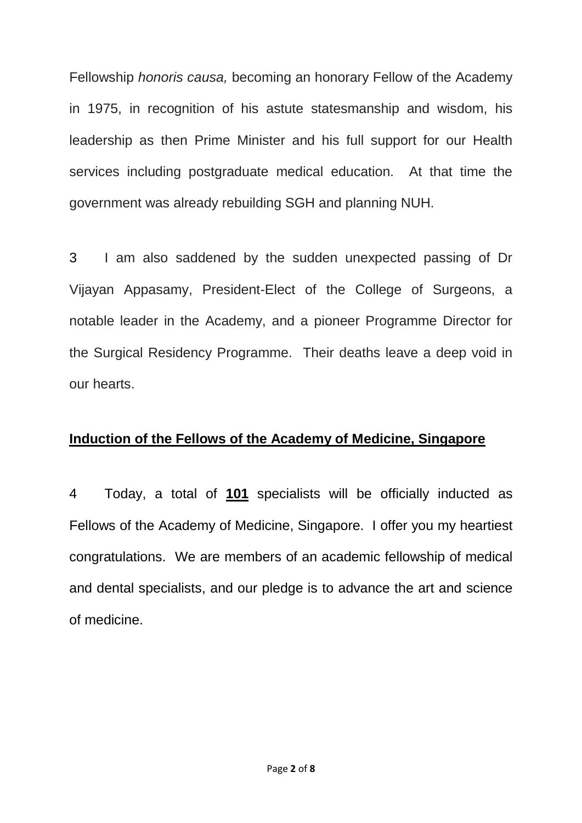Fellowship *honoris causa,* becoming an honorary Fellow of the Academy in 1975, in recognition of his astute statesmanship and wisdom, his leadership as then Prime Minister and his full support for our Health services including postgraduate medical education. At that time the government was already rebuilding SGH and planning NUH.

3 I am also saddened by the sudden unexpected passing of Dr Vijayan Appasamy, President-Elect of the College of Surgeons, a notable leader in the Academy, and a pioneer Programme Director for the Surgical Residency Programme. Their deaths leave a deep void in our hearts.

### **Induction of the Fellows of the Academy of Medicine, Singapore**

4 Today, a total of **101** specialists will be officially inducted as Fellows of the Academy of Medicine, Singapore. I offer you my heartiest congratulations. We are members of an academic fellowship of medical and dental specialists, and our pledge is to advance the art and science of medicine.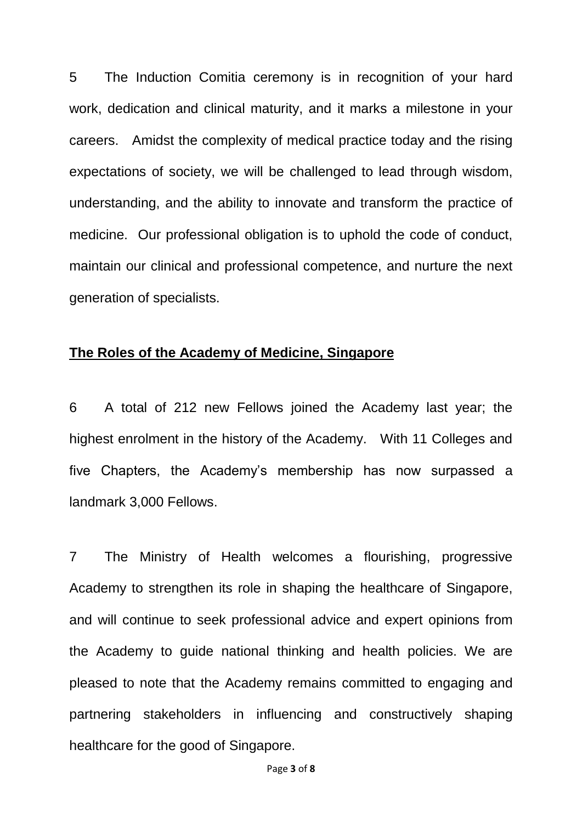5 The Induction Comitia ceremony is in recognition of your hard work, dedication and clinical maturity, and it marks a milestone in your careers. Amidst the complexity of medical practice today and the rising expectations of society, we will be challenged to lead through wisdom, understanding, and the ability to innovate and transform the practice of medicine. Our professional obligation is to uphold the code of conduct, maintain our clinical and professional competence, and nurture the next generation of specialists.

### **The Roles of the Academy of Medicine, Singapore**

6 A total of 212 new Fellows joined the Academy last year; the highest enrolment in the history of the Academy. With 11 Colleges and five Chapters, the Academy's membership has now surpassed a landmark 3,000 Fellows.

7 The Ministry of Health welcomes a flourishing, progressive Academy to strengthen its role in shaping the healthcare of Singapore, and will continue to seek professional advice and expert opinions from the Academy to guide national thinking and health policies. We are pleased to note that the Academy remains committed to engaging and partnering stakeholders in influencing and constructively shaping healthcare for the good of Singapore.

Page **3** of **8**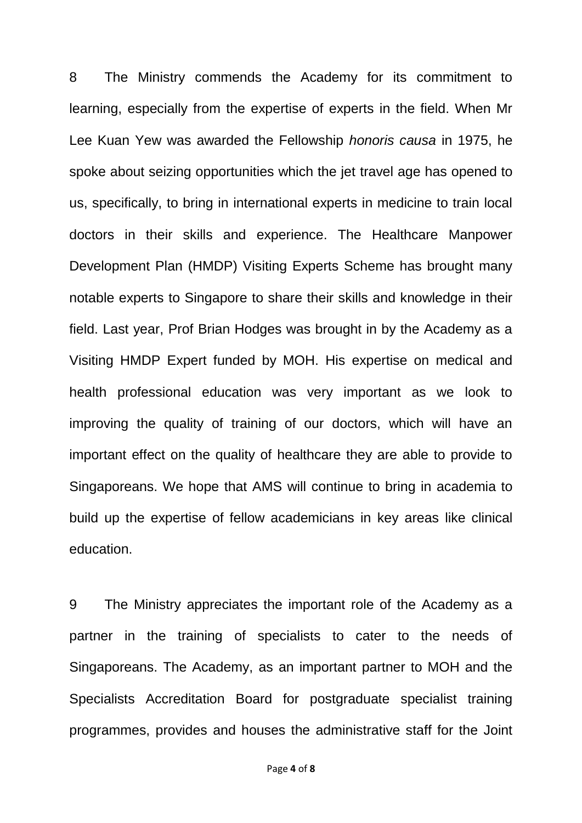8 The Ministry commends the Academy for its commitment to learning, especially from the expertise of experts in the field. When Mr Lee Kuan Yew was awarded the Fellowship *honoris causa* in 1975, he spoke about seizing opportunities which the jet travel age has opened to us, specifically, to bring in international experts in medicine to train local doctors in their skills and experience. The Healthcare Manpower Development Plan (HMDP) Visiting Experts Scheme has brought many notable experts to Singapore to share their skills and knowledge in their field. Last year, Prof Brian Hodges was brought in by the Academy as a Visiting HMDP Expert funded by MOH. His expertise on medical and health professional education was very important as we look to improving the quality of training of our doctors, which will have an important effect on the quality of healthcare they are able to provide to Singaporeans. We hope that AMS will continue to bring in academia to build up the expertise of fellow academicians in key areas like clinical education.

9 The Ministry appreciates the important role of the Academy as a partner in the training of specialists to cater to the needs of Singaporeans. The Academy, as an important partner to MOH and the Specialists Accreditation Board for postgraduate specialist training programmes, provides and houses the administrative staff for the Joint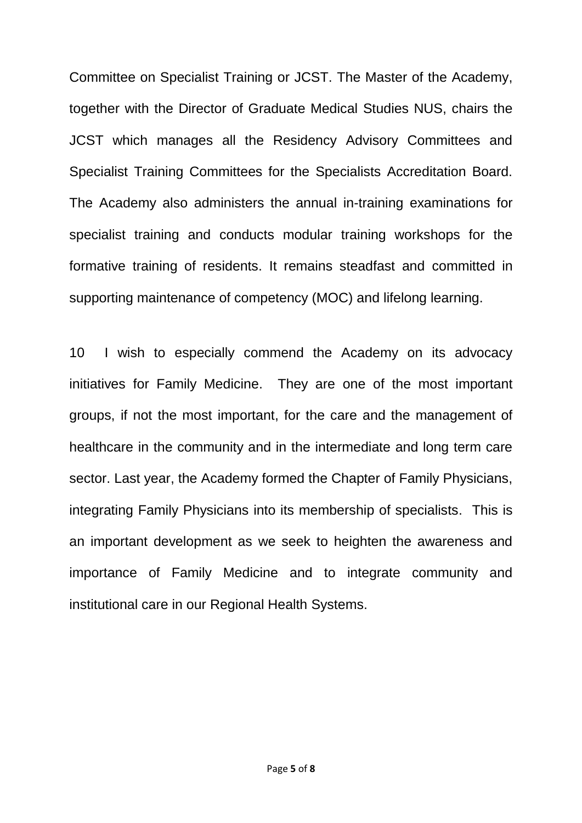Committee on Specialist Training or JCST. The Master of the Academy, together with the Director of Graduate Medical Studies NUS, chairs the JCST which manages all the Residency Advisory Committees and Specialist Training Committees for the Specialists Accreditation Board. The Academy also administers the annual in-training examinations for specialist training and conducts modular training workshops for the formative training of residents. It remains steadfast and committed in supporting maintenance of competency (MOC) and lifelong learning.

10 I wish to especially commend the Academy on its advocacy initiatives for Family Medicine. They are one of the most important groups, if not the most important, for the care and the management of healthcare in the community and in the intermediate and long term care sector. Last year, the Academy formed the Chapter of Family Physicians, integrating Family Physicians into its membership of specialists. This is an important development as we seek to heighten the awareness and importance of Family Medicine and to integrate community and institutional care in our Regional Health Systems.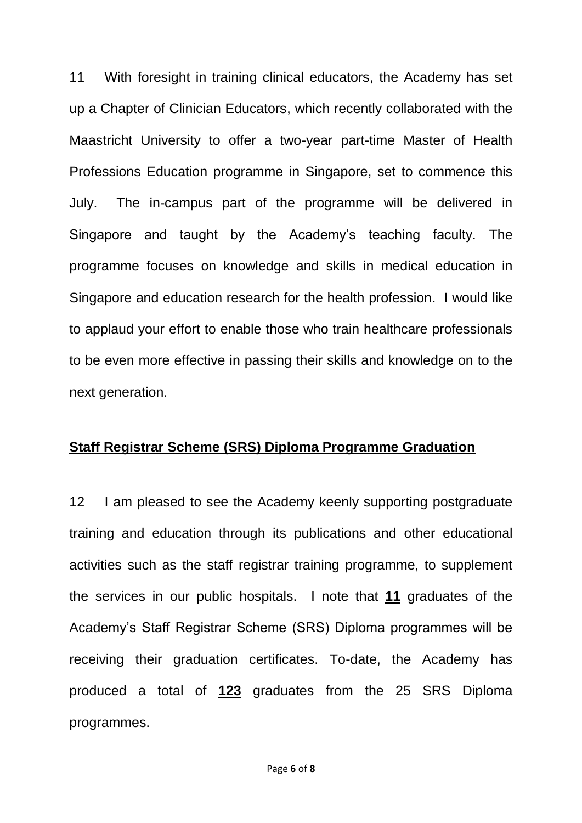11 With foresight in training clinical educators, the Academy has set up a Chapter of Clinician Educators, which recently collaborated with the Maastricht University to offer a two-year part-time Master of Health Professions Education programme in Singapore, set to commence this July. The in-campus part of the programme will be delivered in Singapore and taught by the Academy's teaching faculty. The programme focuses on knowledge and skills in medical education in Singapore and education research for the health profession. I would like to applaud your effort to enable those who train healthcare professionals to be even more effective in passing their skills and knowledge on to the next generation.

## **Staff Registrar Scheme (SRS) Diploma Programme Graduation**

12 I am pleased to see the Academy keenly supporting postgraduate training and education through its publications and other educational activities such as the staff registrar training programme, to supplement the services in our public hospitals. I note that **11** graduates of the Academy's Staff Registrar Scheme (SRS) Diploma programmes will be receiving their graduation certificates. To-date, the Academy has produced a total of **123** graduates from the 25 SRS Diploma programmes.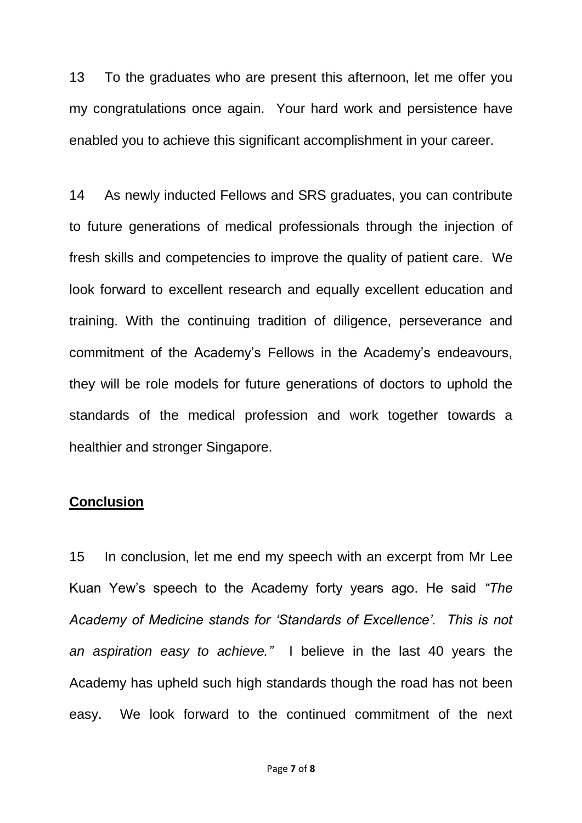13 To the graduates who are present this afternoon, let me offer you my congratulations once again. Your hard work and persistence have enabled you to achieve this significant accomplishment in your career.

14 As newly inducted Fellows and SRS graduates, you can contribute to future generations of medical professionals through the injection of fresh skills and competencies to improve the quality of patient care. We look forward to excellent research and equally excellent education and training. With the continuing tradition of diligence, perseverance and commitment of the Academy's Fellows in the Academy's endeavours, they will be role models for future generations of doctors to uphold the standards of the medical profession and work together towards a healthier and stronger Singapore.

# **Conclusion**

15 In conclusion, let me end my speech with an excerpt from Mr Lee Kuan Yew's speech to the Academy forty years ago. He said *"The Academy of Medicine stands for 'Standards of Excellence'. This is not an aspiration easy to achieve."* I believe in the last 40 years the Academy has upheld such high standards though the road has not been easy. We look forward to the continued commitment of the next